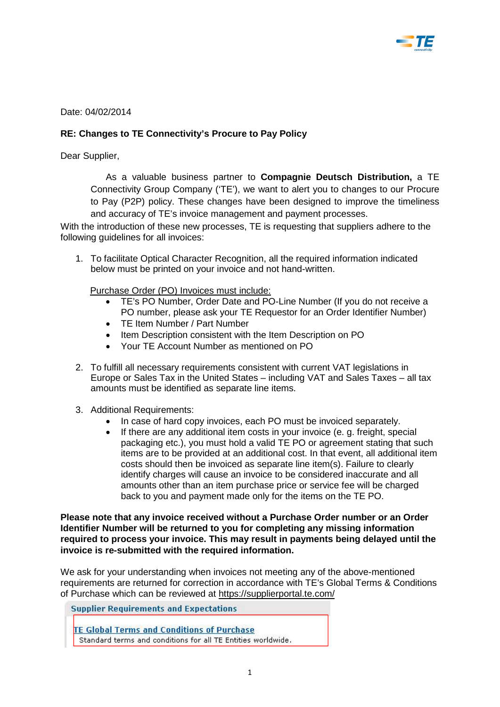

Date: 04/02/2014

## **RE: Changes to TE Connectivity's Procure to Pay Policy**

Dear Supplier,

As a valuable business partner to **Compagnie Deutsch Distribution,** a TE Connectivity Group Company ('TE'), we want to alert you to changes to our Procure to Pay (P2P) policy. These changes have been designed to improve the timeliness and accuracy of TE's invoice management and payment processes.

With the introduction of these new processes, TE is requesting that suppliers adhere to the following guidelines for all invoices:

1. To facilitate Optical Character Recognition, all the required information indicated below must be printed on your invoice and not hand-written.

Purchase Order (PO) Invoices must include:

- TE's PO Number, Order Date and PO-Line Number (If you do not receive a PO number, please ask your TE Requestor for an Order Identifier Number)
- TE Item Number / Part Number
- Item Description consistent with the Item Description on PO
- Your TE Account Number as mentioned on PO
- 2. To fulfill all necessary requirements consistent with current VAT legislations in Europe or Sales Tax in the United States – including VAT and Sales Taxes – all tax amounts must be identified as separate line items.
- 3. Additional Requirements:
	- In case of hard copy invoices, each PO must be invoiced separately.
	- If there are any additional item costs in your invoice (e. g. freight, special packaging etc.), you must hold a valid TE PO or agreement stating that such items are to be provided at an additional cost. In that event, all additional item costs should then be invoiced as separate line item(s). Failure to clearly identify charges will cause an invoice to be considered inaccurate and all amounts other than an item purchase price or service fee will be charged back to you and payment made only for the items on the TE PO.

**Please note that any invoice received without a Purchase Order number or an Order Identifier Number will be returned to you for completing any missing information required to process your invoice. This may result in payments being delayed until the invoice is re-submitted with the required information.** 

We ask for your understanding when invoices not meeting any of the above-mentioned requirements are returned for correction in accordance with TE's Global Terms & Conditions of Purchase which can be reviewed at<https://supplierportal.te.com/>

**Supplier Requirements and Expectations** 

**TE Global Terms and Conditions of Purchase** Standard terms and conditions for all TE Entities worldwide.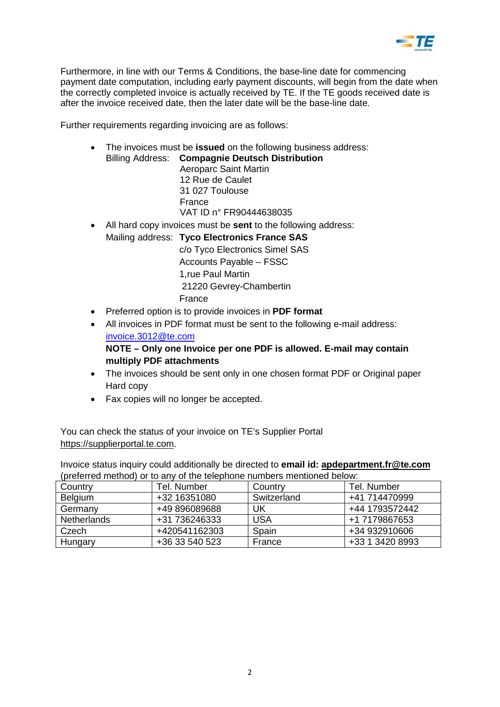

Furthermore, in line with our Terms & Conditions, the base-line date for commencing payment date computation, including early payment discounts, will begin from the date when the correctly completed invoice is actually received by TE. If the TE goods received date is after the invoice received date, then the later date will be the base-line date.

Further requirements regarding invoicing are as follows:

• The invoices must be **issued** on the following business address:

Billing Address: **Compagnie Deutsch Distribution** Aeroparc Saint Martin 12 Rue de Caulet 31 027 Toulouse France VAT ID n° FR90444638035

• All hard copy invoices must be **sent** to the following address: Mailing address: **Tyco Electronics France SAS** c/o Tyco Electronics Simel SAS

Accounts Payable – FSSC 1,rue Paul Martin 21220 Gevrey-Chambertin France

- Preferred option is to provide invoices in **PDF format**
- All invoices in PDF format must be sent to the following e-mail address: [invoice.3012@te.com](mailto:invoice.3012@te.com)

**NOTE – Only one Invoice per one PDF is allowed. E-mail may contain multiply PDF attachments** 

- The invoices should be sent only in one chosen format PDF or Original paper Hard copy
- Fax copies will no longer be accepted.

You can check the status of your invoice on TE's Supplier Portal [https://supplierportal.te.com.](https://supplierportal.te.com/)

Invoice status inquiry could additionally be directed to **email id: [apdepartment.fr@te.com](mailto:apdepartment.fr@te.com)** (preferred method) or to any of the telephone numbers mentioned below:

| Country            | Tel. Number    | Country     | Tel. Number     |
|--------------------|----------------|-------------|-----------------|
| <b>Belgium</b>     | +32 16351080   | Switzerland | +41 714470999   |
| Germany            | +49 896089688  | UK          | +44 1793572442  |
| <b>Netherlands</b> | +31 736246333  | <b>USA</b>  | +1 7179867653   |
| Czech              | +420541162303  | Spain       | +34 932910606   |
| Hungary            | +36 33 540 523 | France      | +33 1 3420 8993 |